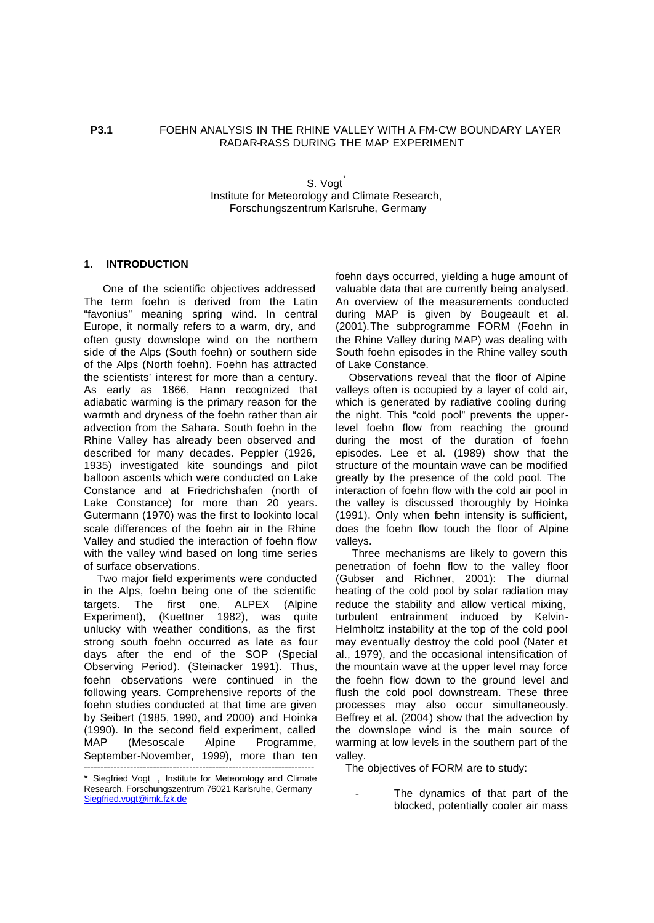# **P3.1** FOEHN ANALYSIS IN THE RHINE VALLEY WITH A FM-CW BOUNDARY LAYER RADAR-RASS DURING THE MAP EXPERIMENT

S. Vogt Institute for Meteorology and Climate Research, Forschungszentrum Karlsruhe, Germany

## **1. INTRODUCTION**

 One of the scientific objectives addressed The term foehn is derived from the Latin "favonius" meaning spring wind. In central Europe, it normally refers to a warm, dry, and often gusty downslope wind on the northern side of the Alps (South foehn) or southern side of the Alps (North foehn). Foehn has attracted the scientists' interest for more than a century. As early as 1866, Hann recognized that adiabatic warming is the primary reason for the warmth and dryness of the foehn rather than air advection from the Sahara. South foehn in the Rhine Valley has already been observed and described for many decades. Peppler (1926, 1935) investigated kite soundings and pilot balloon ascents which were conducted on Lake Constance and at Friedrichshafen (north of Lake Constance) for more than 20 years. Gutermann (1970) was the first to lookinto local scale differences of the foehn air in the Rhine Valley and studied the interaction of foehn flow with the valley wind based on long time series of surface observations.

 Two major field experiments were conducted in the Alps, foehn being one of the scientific targets. The first one, ALPEX (Alpine Experiment), (Kuettner 1982), was quite unlucky with weather conditions, as the first strong south foehn occurred as late as four days after the end of the SOP (Special Observing Period). (Steinacker 1991). Thus, foehn observations were continued in the following years. Comprehensive reports of the foehn studies conducted at that time are given by Seibert (1985, 1990, and 2000) and Hoinka (1990). In the second field experiment, called MAP (Mesoscale Alpine Programme, September-November, 1999), more than ten ----------------------------------------------------------------------

foehn days occurred, yielding a huge amount of valuable data that are currently being analysed. An overview of the measurements conducted during MAP is given by Bougeault et al. (2001).The subprogramme FORM (Foehn in the Rhine Valley during MAP) was dealing with South foehn episodes in the Rhine valley south of Lake Constance.

 Observations reveal that the floor of Alpine valleys often is occupied by a layer of cold air, which is generated by radiative cooling during the night. This "cold pool" prevents the upperlevel foehn flow from reaching the ground during the most of the duration of foehn episodes. Lee et al. (1989) show that the structure of the mountain wave can be modified greatly by the presence of the cold pool. The interaction of foehn flow with the cold air pool in the valley is discussed thoroughly by Hoinka (1991). Only when foehn intensity is sufficient, does the foehn flow touch the floor of Alpine valleys.

 Three mechanisms are likely to govern this penetration of foehn flow to the valley floor (Gubser and Richner, 2001): The diurnal heating of the cold pool by solar radiation may reduce the stability and allow vertical mixing, turbulent entrainment induced by Kelvin-Helmholtz instability at the top of the cold pool may eventually destroy the cold pool (Nater et al., 1979), and the occasional intensification of the mountain wave at the upper level may force the foehn flow down to the ground level and flush the cold pool downstream. These three processes may also occur simultaneously. Beffrey et al. (2004) show that the advection by the downslope wind is the main source of warming at low levels in the southern part of the valley.

The objectives of FORM are to study:

The dynamics of that part of the blocked, potentially cooler air mass

<sup>\*</sup> Siegfried Vogt , Institute for Meteorology and Climate Research, Forschungszentrum 76021 Karlsruhe, Germany Siegfried.vogt@imk.fzk.de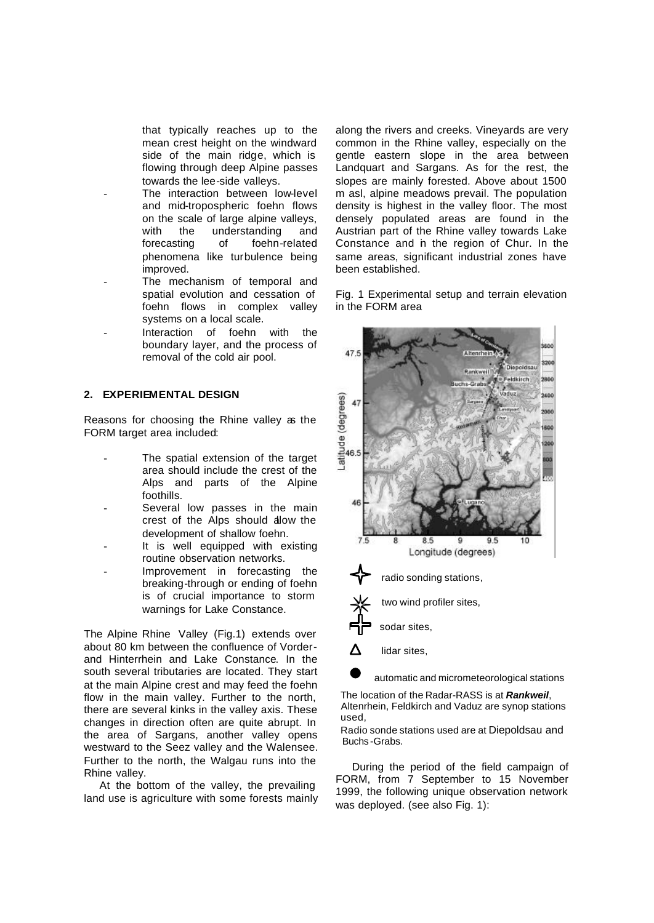that typically reaches up to the mean crest height on the windward side of the main ridge, which is flowing through deep Alpine passes towards the lee-side valleys.

- The interaction between low-level and mid-tropospheric foehn flows on the scale of large alpine valleys, with the understanding and forecasting of foehn-related phenomena like turbulence being improved.
- The mechanism of temporal and spatial evolution and cessation of foehn flows in complex valley systems on a local scale.
- Interaction of foehn with the boundary layer, and the process of removal of the cold air pool.

# **2. EXPERIEMENTAL DESIGN**

Reasons for choosing the Rhine valley as the FORM target area included:

- The spatial extension of the target area should include the crest of the Alps and parts of the Alpine foothills.
- Several low passes in the main crest of the Alps should allow the development of shallow foehn.
- It is well equipped with existing routine observation networks.
- Improvement in forecasting the breaking-through or ending of foehn is of crucial importance to storm warnings for Lake Constance.

The Alpine Rhine Valley (Fig.1) extends over about 80 km between the confluence of Vorderand Hinterrhein and Lake Constance. In the south several tributaries are located. They start at the main Alpine crest and may feed the foehn flow in the main valley. Further to the north, there are several kinks in the valley axis. These changes in direction often are quite abrupt. In the area of Sargans, another valley opens westward to the Seez valley and the Walensee. Further to the north, the Walgau runs into the Rhine valley.

 At the bottom of the valley, the prevailing land use is agriculture with some forests mainly along the rivers and creeks. Vineyards are very common in the Rhine valley, especially on the gentle eastern slope in the area between Landquart and Sargans. As for the rest, the slopes are mainly forested. Above about 1500 m asl, alpine meadows prevail. The population density is highest in the valley floor. The most densely populated areas are found in the Austrian part of the Rhine valley towards Lake Constance and in the region of Chur. In the same areas, significant industrial zones have been established.

Fig. 1 Experimental setup and terrain elevation in the FORM area



automatic and micrometeorological stations

 The location of the Radar-RASS is at *Rankweil*, Altenrhein, Feldkirch and Vaduz are synop stations used,

 Radio sonde stations used are at Diepoldsau and Buchs -Grabs.

 During the period of the field campaign of FORM, from 7 September to 15 November 1999, the following unique observation network was deployed. (see also Fig. 1):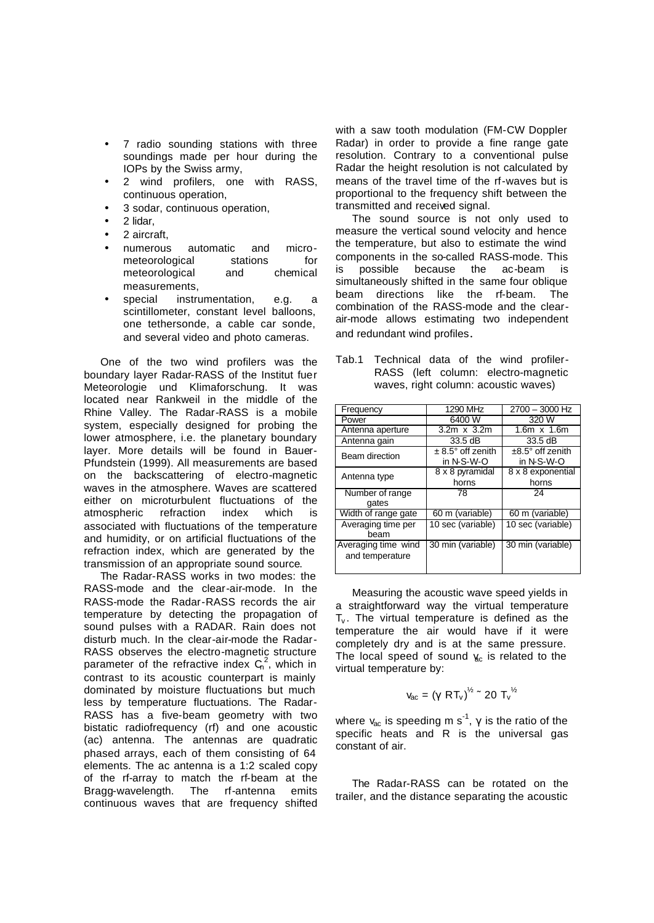- 7 radio sounding stations with three soundings made per hour during the IOPs by the Swiss army,
- 2 wind profilers, one with RASS, continuous operation,
- 3 sodar, continuous operation,
- 2 lidar,
- 2 aircraft,
- numerous automatic and micrometeorological stations for meteorological and chemical measurements,
- special instrumentation, e.g. a scintillometer, constant level balloons, one tethersonde, a cable car sonde, and several video and photo cameras.

 One of the two wind profilers was the boundary layer Radar-RASS of the Institut fuer Meteorologie und Klimaforschung. It was located near Rankweil in the middle of the Rhine Valley. The Radar-RASS is a mobile system, especially designed for probing the lower atmosphere, i.e. the planetary boundary layer. More details will be found in Bauer-Pfundstein (1999). All measurements are based on the backscattering of electro-magnetic waves in the atmosphere. Waves are scattered either on microturbulent fluctuations of the atmospheric refraction index which is associated with fluctuations of the temperature and humidity, or on artificial fluctuations of the refraction index, which are generated by the transmission of an appropriate sound source.

 The Radar-RASS works in two modes: the RASS-mode and the clear-air-mode. In the RASS-mode the Radar-RASS records the air temperature by detecting the propagation of sound pulses with a RADAR. Rain does not disturb much. In the clear-air-mode the Radar-RASS observes the electro-magnetic structure parameter of the refractive index  $C_n^2$ , which in contrast to its acoustic counterpart is mainly dominated by moisture fluctuations but much less by temperature fluctuations. The Radar-RASS has a five-beam geometry with two bistatic radiofrequency (rf) and one acoustic (ac) antenna. The antennas are quadratic phased arrays, each of them consisting of 64 elements. The ac antenna is a 1:2 scaled copy of the rf-array to match the rf-beam at the Bragg-wavelength. The rf-antenna emits continuous waves that are frequency shifted

with a saw tooth modulation (FM-CW Doppler Radar) in order to provide a fine range gate resolution. Contrary to a conventional pulse Radar the height resolution is not calculated by means of the travel time of the rf-waves but is proportional to the frequency shift between the transmitted and received signal.

 The sound source is not only used to measure the vertical sound velocity and hence the temperature, but also to estimate the wind components in the so-called RASS-mode. This is possible because the ac-beam is simultaneously shifted in the same four oblique beam directions like the rf-beam. The combination of the RASS-mode and the clearair-mode allows estimating two independent and redundant wind profiles.

| Tab.1 Technical data of the wind profiler- |  |  |  |
|--------------------------------------------|--|--|--|
| RASS (left column: electro-magnetic        |  |  |  |
| waves, right column: acoustic waves)       |  |  |  |

| Frequency                              | 1290 MHz                                      | 2700 - 3000 Hz                          |  |
|----------------------------------------|-----------------------------------------------|-----------------------------------------|--|
| Power                                  | 6400 W                                        | 320 W                                   |  |
| Antenna aperture                       | 3.2m x 3.2m                                   | $1.6m \times 1.6m$                      |  |
| Antenna gain                           | $33.5 \text{ dB}$                             | $33.5 \text{ dB}$                       |  |
| Beam direction                         | $\pm$ 8.5 $^{\circ}$ off zenith<br>in N-S-W-O | $±8.5^\circ$ off zenith<br>in $N-S-W-O$ |  |
| Antenna type                           | 8 x 8 pyramidal<br>horns                      | 8 x 8 exponential<br>horns              |  |
| Number of range<br>gates               | 78                                            | 24                                      |  |
| Width of range gate                    | 60 m (variable)                               | 60 m (variable)                         |  |
| Averaging time per<br>beam             | 10 sec (variable)                             | 10 sec (variable)                       |  |
| Averaging time wind<br>and temperature | 30 min (variable)                             | 30 min (variable)                       |  |

 Measuring the acoustic wave speed yields in a straightforward way the virtual temperature  $T_v$ . The virtual temperature is defined as the temperature the air would have if it were completely dry and is at the same pressure. The local speed of sound  $y_c$  is related to the virtual temperature by:

$$
v_{\rm ac} = (\gamma \, RT_v)^{\frac{1}{2}} \approx 20 \, T_v^{\frac{1}{2}}
$$

where  $v_{ac}$  is speeding m s<sup>-1</sup>,  $\gamma$  is the ratio of the specific heats and R is the universal gas constant of air.

 The Radar-RASS can be rotated on the trailer, and the distance separating the acoustic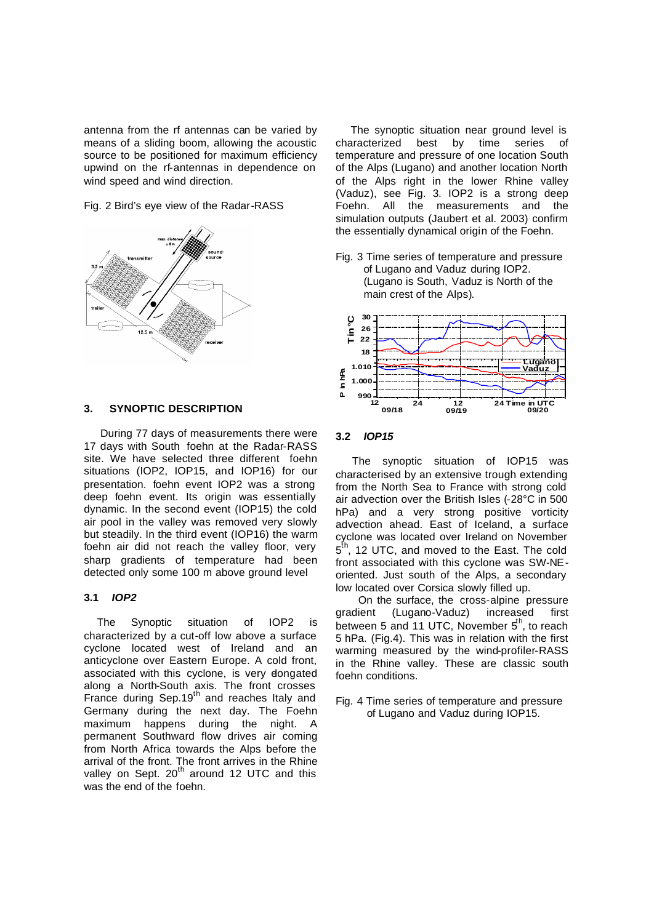antenna from the rf antennas can be varied by means of a sliding boom, allowing the acoustic source to be positioned for maximum efficiency upwind on the rf-antennas in dependence on wind speed and wind direction.

Fig. 2 Bird's eye view of the Radar-RASS



## **3. SYNOPTIC DESCRIPTION**

During 77 days of measurements there were 17 days with South foehn at the Radar-RASS site. We have selected three different foehn situations (IOP2, IOP15, and IOP16) for our presentation. foehn event IOP2 was a strong deep foehn event. Its origin was essentially dynamic. In the second event (IOP15) the cold air pool in the valley was removed very slowly but steadily. In the third event (IOP16) the warm foehn air did not reach the valley floor, very sharp gradients of temperature had been detected only some 100 m above ground level

## **3.1** *IOP2*

The Synoptic situation of IOP2 is characterized by a cut-off low above a surface cyclone located west of Ireland and an anticyclone over Eastern Europe. A cold front, associated with this cyclone, is very dongated along a North-South axis. The front crosses France during Sep.19<sup>th</sup> and reaches Italy and Germany during the next day. The Foehn maximum happens during the night. A permanent Southward flow drives air coming from North Africa towards the Alps before the arrival of the front. The front arrives in the Rhine valley on Sept.  $20^{th}$  around 12 UTC and this was the end of the foehn.

 The synoptic situation near ground level is characterized best by time series of temperature and pressure of one location South of the Alps (Lugano) and another location North of the Alps right in the lower Rhine valley (Vaduz), see Fig. 3. IOP2 is a strong deep Foehn. All the measurements and the simulation outputs (Jaubert et al. 2003) confirm the essentially dynamical origin of the Foehn.

Fig. 3 Time series of temperature and pressure of Lugano and Vaduz during IOP2. (Lugano is South, Vaduz is North of the main crest of the Alps).



#### **3.2** *IOP15*

 The synoptic situation of IOP15 was characterised by an extensive trough extending from the North Sea to France with strong cold air advection over the British Isles (-28°C in 500 hPa) and a very strong positive vorticity advection ahead. East of Iceland, a surface cyclone was located over Ireland on November 5<sup>th</sup>, 12 UTC, and moved to the East. The cold front associated with this cyclone was SW-NEoriented. Just south of the Alps, a secondary low located over Corsica slowly filled up.

 On the surface, the cross-alpine pressure gradient (Lugano-Vaduz) increased first between 5 and 11 UTC, November  $5^{\text{th}}$ , to reach 5 hPa. (Fig.4). This was in relation with the first warming measured by the wind-profiler-RASS in the Rhine valley. These are classic south foehn conditions.

Fig. 4 Time series of temperature and pressure of Lugano and Vaduz during IOP15.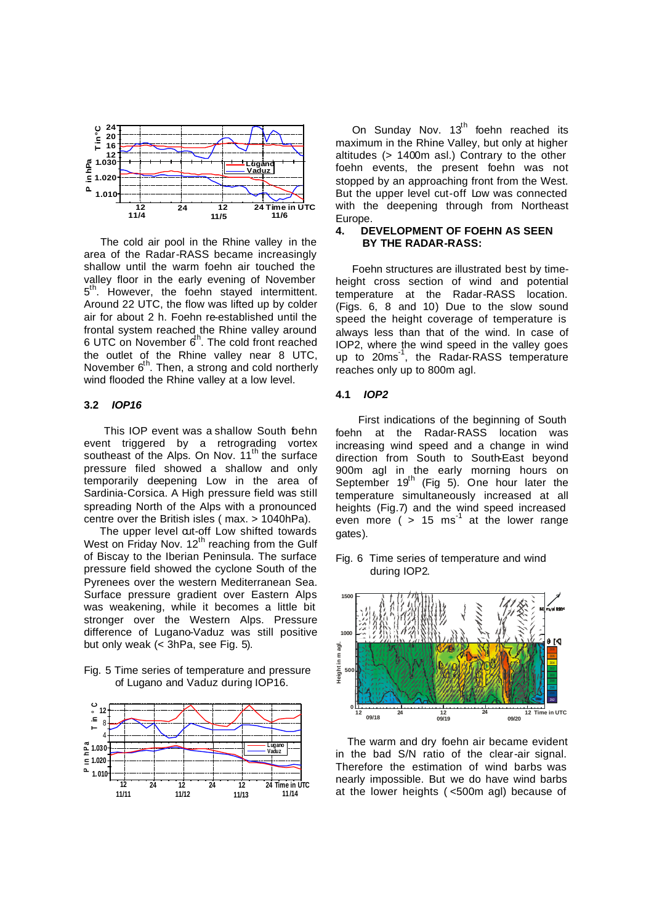

 The cold air pool in the Rhine valley in the area of the Radar-RASS became increasingly shallow until the warm foehn air touched the valley floor in the early evening of November 5<sup>th</sup>. However, the foehn stayed intermittent. Around 22 UTC, the flow was lifted up by colder air for about 2 h. Foehn re-established until the frontal system reached the Rhine valley around 6 UTC on November 6<sup>th</sup>. The cold front reached the outlet of the Rhine valley near 8 UTC, November 6<sup>th</sup>. Then, a strong and cold northerly wind flooded the Rhine valley at a low level.

# **3.2** *IOP16*

This IOP event was a shallow South behn event triggered by a retrograding vortex southeast of the Alps. On Nov. 11<sup>th</sup> the surface pressure filed showed a shallow and only temporarily deepening Low in the area of Sardinia-Corsica. A High pressure field was still spreading North of the Alps with a pronounced centre over the British isles ( max. > 1040hPa).

The upper level cut-off Low shifted towards West on Friday Nov.  $12<sup>th</sup>$  reaching from the Gulf of Biscay to the Iberian Peninsula. The surface pressure field showed the cyclone South of the Pyrenees over the western Mediterranean Sea. Surface pressure gradient over Eastern Alps was weakening, while it becomes a little bit stronger over the Western Alps. Pressure difference of Lugano-Vaduz was still positive but only weak (< 3hPa, see Fig. 5).

Fig. 5 Time series of temperature and pressure of Lugano and Vaduz during IOP16.



On Sunday Nov.  $13<sup>th</sup>$  foehn reached its maximum in the Rhine Valley, but only at higher altitudes (> 1400m asl.) Contrary to the other foehn events, the present foehn was not stopped by an approaching front from the West. But the upper level cut-off Low was connected with the deepening through from Northeast Europe.

#### **4. DEVELOPMENT OF FOEHN AS SEEN BY THE RADAR-RASS:**

 Foehn structures are illustrated best by timeheight cross section of wind and potential temperature at the Radar-RASS location. (Figs. 6, 8 and 10) Due to the slow sound speed the height coverage of temperature is always less than that of the wind. In case of IOP2, where the wind speed in the valley goes up to 20ms-1 , the Radar-RASS temperature reaches only up to 800m agl.

## **4.1** *IOP2*

 First indications of the beginning of South foehn at the Radar-RASS location was increasing wind speed and a change in wind direction from South to South-East beyond 900m agl in the early morning hours on September  $19<sup>th</sup>$  (Fig 5). One hour later the temperature simultaneously increased at all heights (Fig.7) and the wind speed increased even more  $($  > 15 ms<sup>-1</sup> at the lower range gates).

Fig. 6 Time series of temperature and wind during IOP2.



 The warm and dry foehn air became evident in the bad S/N ratio of the clear-air signal. Therefore the estimation of wind barbs was nearly impossible. But we do have wind barbs at the lower heights ( <500m agl) because of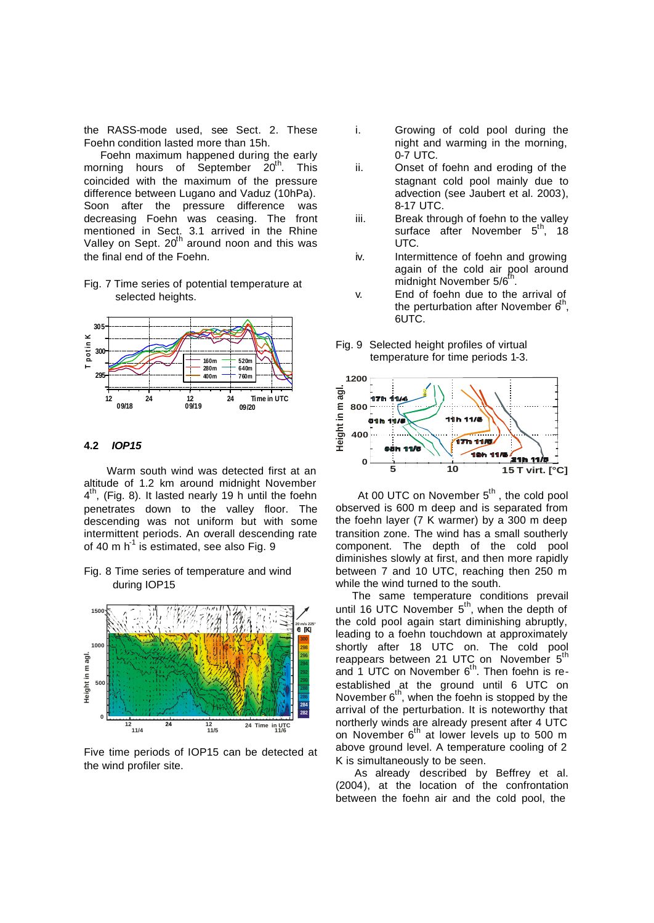the RASS-mode used, see Sect. 2. These Foehn condition lasted more than 15h.

 Foehn maximum happened during the early morning hours of September  $20^{th}$ . This coincided with the maximum of the pressure difference between Lugano and Vaduz (10hPa). Soon after the pressure difference was decreasing Foehn was ceasing. The front mentioned in Sect. 3.1 arrived in the Rhine Valley on Sept. 20<sup>th</sup> around noon and this was the final end of the Foehn.

Fig. 7 Time series of potential temperature at selected heights.



#### **4.2** *IOP15*

 Warm south wind was detected first at an altitude of 1.2 km around midnight November  $4<sup>th</sup>$ , (Fig. 8). It lasted nearly 19 h until the foehn penetrates down to the valley floor. The descending was not uniform but with some intermittent periods. An overall descending rate of 40 m  $h^{-1}$  is estimated, see also Fig. 9

Fig. 8 Time series of temperature and wind during IOP15



Five time periods of IOP15 can be detected at the wind profiler site.

- i. Growing of cold pool during the night and warming in the morning, 0-7 UTC.
- ii. Onset of foehn and eroding of the stagnant cold pool mainly due to advection (see Jaubert et al. 2003), 8-17 UTC.
- iii. Break through of foehn to the valley surface after November 5<sup>th</sup>, 18 UTC.
- iv. Intermittence of foehn and growing again of the cold air pool around midnight November 5/6<sup>t</sup> .
- v. End of foehn due to the arrival of the perturbation after November  $6<sup>th</sup>$ , 6UTC.



Fig. 9 Selected height profiles of virtual temperature for time periods 1-3.

At 00 UTC on November  $5<sup>th</sup>$ , the cold pool observed is 600 m deep and is separated from the foehn layer (7 K warmer) by a 300 m deep transition zone. The wind has a small southerly component. The depth of the cold pool diminishes slowly at first, and then more rapidly between 7 and 10 UTC, reaching then 250 m while the wind turned to the south.

 The same temperature conditions prevail until 16 UTC November 5<sup>th</sup>, when the depth of the cold pool again start diminishing abruptly, leading to a foehn touchdown at approximately shortly after 18 UTC on. The cold pool reappears between 21 UTC on November 5<sup>th</sup> and 1 UTC on November 6<sup>th</sup>. Then foehn is reestablished at the ground until 6 UTC on November  $6<sup>th</sup>$ , when the foehn is stopped by the arrival of the perturbation. It is noteworthy that northerly winds are already present after 4 UTC on November  $6<sup>th</sup>$  at lower levels up to 500 m above ground level. A temperature cooling of 2 K is simultaneously to be seen.

 As already described by Beffrey et al. (2004), at the location of the confrontation between the foehn air and the cold pool, the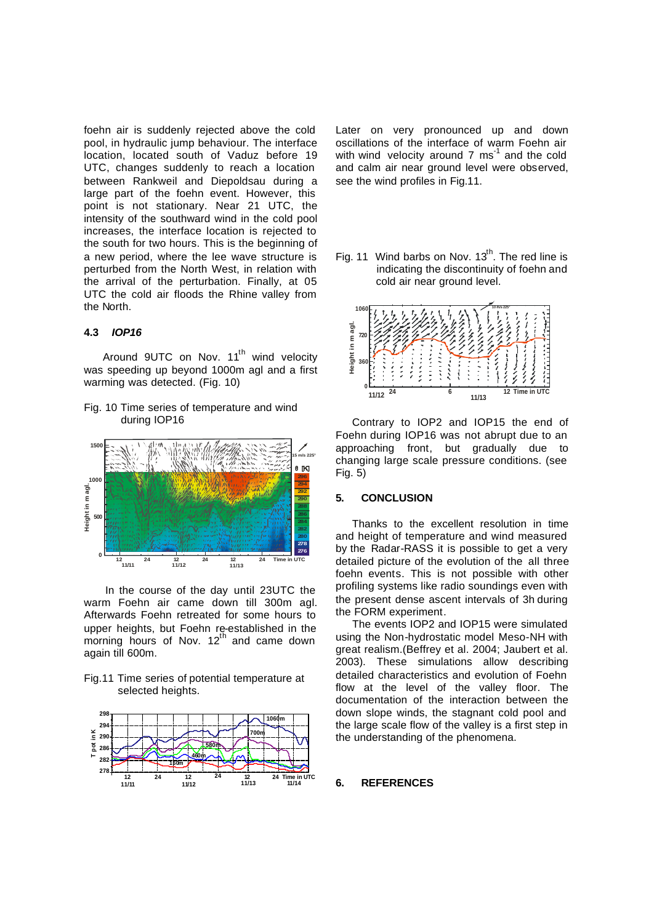foehn air is suddenly rejected above the cold pool, in hydraulic jump behaviour. The interface location, located south of Vaduz before 19 UTC, changes suddenly to reach a location between Rankweil and Diepoldsau during a large part of the foehn event. However, this point is not stationary. Near 21 UTC, the intensity of the southward wind in the cold pool increases, the interface location is rejected to the south for two hours. This is the beginning of a new period, where the lee wave structure is perturbed from the North West, in relation with the arrival of the perturbation. Finally, at 05 UTC the cold air floods the Rhine valley from the North.

## **4.3** *IOP16*

Around 9UTC on Nov. 11<sup>th</sup> wind velocity was speeding up beyond 1000m agl and a first warming was detected. (Fig. 10)

Fig. 10 Time series of temperature and wind during IOP16



 In the course of the day until 23UTC the warm Foehn air came down till 300m agl. Afterwards Foehn retreated for some hours to upper heights, but Foehn re-established in the morning hours of Nov. 12<sup>th</sup> and came down again till 600m.

Fig.11 Time series of potential temperature at selected heights.



Later on very pronounced up and down oscillations of the interface of warm Foehn air with wind velocity around 7  $\text{ms}^{\text{-1}}$  and the cold and calm air near ground level were observed, see the wind profiles in Fig.11.

Fig. 11 Wind barbs on Nov.  $13<sup>th</sup>$ . The red line is indicating the discontinuity of foehn and cold air near ground level.



 Contrary to IOP2 and IOP15 the end of Foehn during IOP16 was not abrupt due to an approaching front, but gradually due to changing large scale pressure conditions. (see Fig. 5)

# **5. CONCLUSION**

 Thanks to the excellent resolution in time and height of temperature and wind measured by the Radar-RASS it is possible to get a very detailed picture of the evolution of the all three foehn events. This is not possible with other profiling systems like radio soundings even with the present dense ascent intervals of 3h during the FORM experiment.

 The events IOP2 and IOP15 were simulated using the Non-hydrostatic model Meso-NH with great realism.(Beffrey et al. 2004; Jaubert et al. 2003). These simulations allow describing detailed characteristics and evolution of Foehn flow at the level of the valley floor. The documentation of the interaction between the down slope winds, the stagnant cold pool and the large scale flow of the valley is a first step in the understanding of the phenomena.

# **6. REFERENCES**